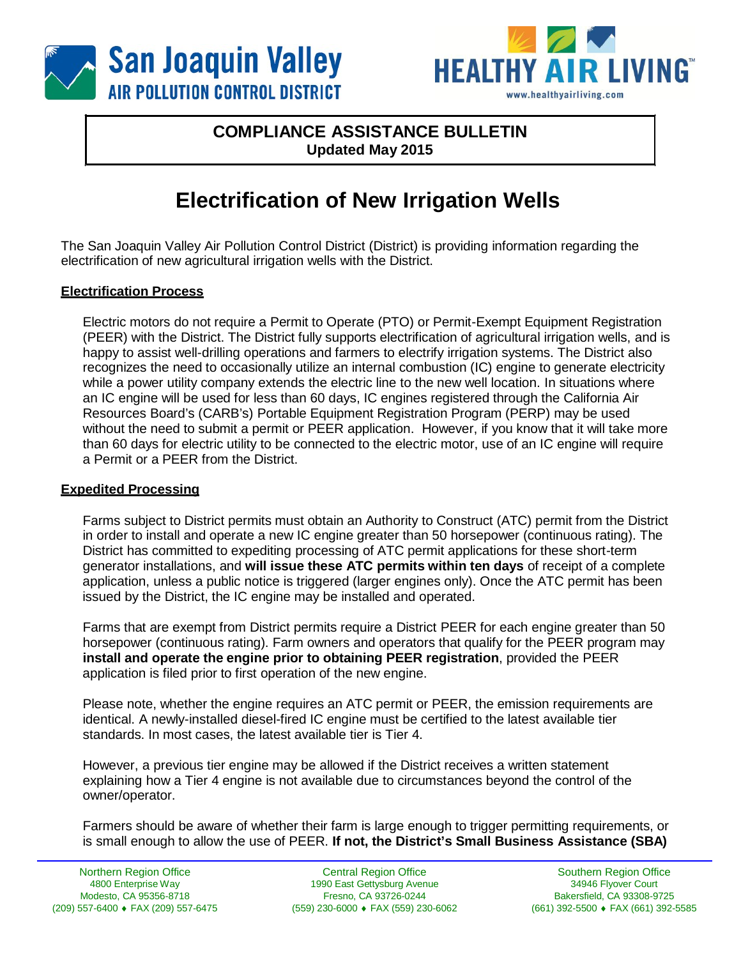



# **COMPLIANCE ASSISTANCE BULLETIN Updated May 2015**

# **Electrification of New Irrigation Wells**

The San Joaquin Valley Air Pollution Control District (District) is providing information regarding the electrification of new agricultural irrigation wells with the District.

## **Electrification Process**

Electric motors do not require a Permit to Operate (PTO) or Permit-Exempt Equipment Registration (PEER) with the District. The District fully supports electrification of agricultural irrigation wells, and is happy to assist well-drilling operations and farmers to electrify irrigation systems. The District also recognizes the need to occasionally utilize an internal combustion (IC) engine to generate electricity while a power utility company extends the electric line to the new well location. In situations where an IC engine will be used for less than 60 days, IC engines registered through the California Air Resources Board's (CARB's) Portable Equipment Registration Program (PERP) may be used without the need to submit a permit or PEER application. However, if you know that it will take more than 60 days for electric utility to be connected to the electric motor, use of an IC engine will require a Permit or a PEER from the District.

#### **Expedited Processing**

Farms subject to District permits must obtain an Authority to Construct (ATC) permit from the District in order to install and operate a new IC engine greater than 50 horsepower (continuous rating). The District has committed to expediting processing of ATC permit applications for these short-term generator installations, and **will issue these ATC permits within ten days** of receipt of a complete application, unless a public notice is triggered (larger engines only). Once the ATC permit has been issued by the District, the IC engine may be installed and operated.

Farms that are exempt from District permits require a District PEER for each engine greater than 50 horsepower (continuous rating). Farm owners and operators that qualify for the PEER program may **install and operate the engine prior to obtaining PEER registration**, provided the PEER application is filed prior to first operation of the new engine.

Please note, whether the engine requires an ATC permit or PEER, the emission requirements are identical. A newly-installed diesel-fired IC engine must be certified to the latest available tier standards. In most cases, the latest available tier is Tier 4.

However, a previous tier engine may be allowed if the District receives a written statement explaining how a Tier 4 engine is not available due to circumstances beyond the control of the owner/operator.

Farmers should be aware of whether their farm is large enough to trigger permitting requirements, or is small enough to allow the use of PEER. **If not, the District's Small Business Assistance (SBA)**

Central Region Office 1990 East Gettysburg Avenue Fresno, CA 93726-0244 (559) 230-6000 ♦ FAX (559) 230-6062

Southern Region Office 34946 Flyover Court Bakersfield, CA 93308-9725 (661) 392-5500 ♦ FAX (661) 392-5585